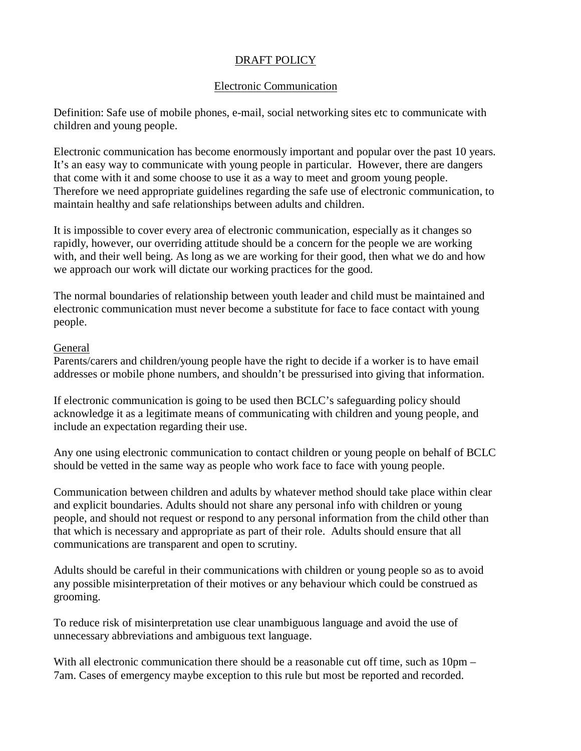# DRAFT POLICY

#### Electronic Communication

Definition: Safe use of mobile phones, e-mail, social networking sites etc to communicate with children and young people.

Electronic communication has become enormously important and popular over the past 10 years. It's an easy way to communicate with young people in particular. However, there are dangers that come with it and some choose to use it as a way to meet and groom young people. Therefore we need appropriate guidelines regarding the safe use of electronic communication, to maintain healthy and safe relationships between adults and children.

It is impossible to cover every area of electronic communication, especially as it changes so rapidly, however, our overriding attitude should be a concern for the people we are working with, and their well being. As long as we are working for their good, then what we do and how we approach our work will dictate our working practices for the good.

The normal boundaries of relationship between youth leader and child must be maintained and electronic communication must never become a substitute for face to face contact with young people.

#### General

Parents/carers and children/young people have the right to decide if a worker is to have email addresses or mobile phone numbers, and shouldn't be pressurised into giving that information.

If electronic communication is going to be used then BCLC's safeguarding policy should acknowledge it as a legitimate means of communicating with children and young people, and include an expectation regarding their use.

Any one using electronic communication to contact children or young people on behalf of BCLC should be vetted in the same way as people who work face to face with young people.

Communication between children and adults by whatever method should take place within clear and explicit boundaries. Adults should not share any personal info with children or young people, and should not request or respond to any personal information from the child other than that which is necessary and appropriate as part of their role. Adults should ensure that all communications are transparent and open to scrutiny.

Adults should be careful in their communications with children or young people so as to avoid any possible misinterpretation of their motives or any behaviour which could be construed as grooming.

To reduce risk of misinterpretation use clear unambiguous language and avoid the use of unnecessary abbreviations and ambiguous text language.

With all electronic communication there should be a reasonable cut off time, such as  $10pm -$ 7am. Cases of emergency maybe exception to this rule but most be reported and recorded.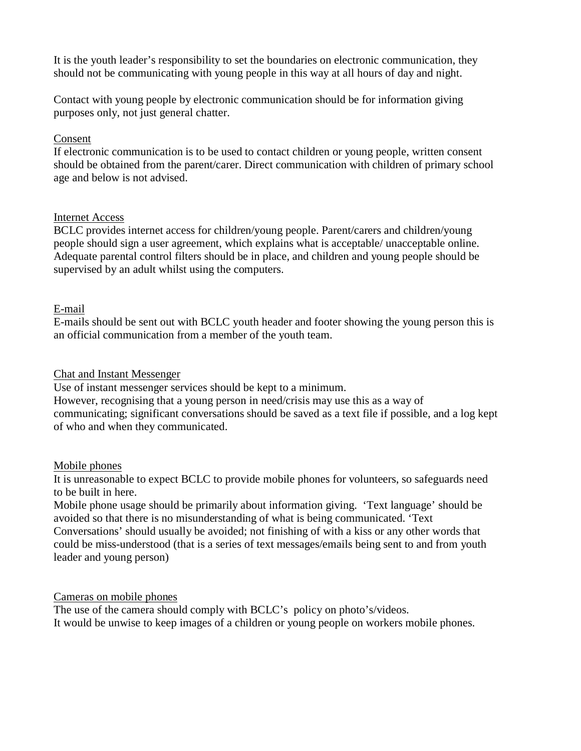It is the youth leader's responsibility to set the boundaries on electronic communication, they should not be communicating with young people in this way at all hours of day and night.

Contact with young people by electronic communication should be for information giving purposes only, not just general chatter.

## Consent

If electronic communication is to be used to contact children or young people, written consent should be obtained from the parent/carer. Direct communication with children of primary school age and below is not advised.

## Internet Access

BCLC provides internet access for children/young people. Parent/carers and children/young people should sign a user agreement, which explains what is acceptable/ unacceptable online. Adequate parental control filters should be in place, and children and young people should be supervised by an adult whilst using the computers.

# E-mail

E-mails should be sent out with BCLC youth header and footer showing the young person this is an official communication from a member of the youth team.

# Chat and Instant Messenger

Use of instant messenger services should be kept to a minimum.

However, recognising that a young person in need/crisis may use this as a way of communicating; significant conversations should be saved as a text file if possible, and a log kept of who and when they communicated.

## Mobile phones

It is unreasonable to expect BCLC to provide mobile phones for volunteers, so safeguards need to be built in here.

Mobile phone usage should be primarily about information giving. 'Text language' should be avoided so that there is no misunderstanding of what is being communicated. 'Text Conversations' should usually be avoided; not finishing of with a kiss or any other words that could be miss-understood (that is a series of text messages/emails being sent to and from youth leader and young person)

## Cameras on mobile phones

The use of the camera should comply with BCLC's policy on photo's/videos. It would be unwise to keep images of a children or young people on workers mobile phones.